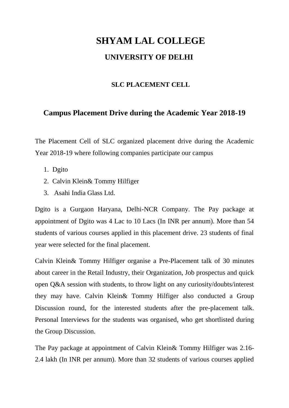## **SHYAM LAL COLLEGE UNIVERSITY OF DELHI**

## **SLC PLACEMENT CELL**

## **Campus Placement Drive during the Academic Year 2018-19**

The Placement Cell of SLC organized placement drive during the Academic Year 2018-19 where following companies participate our campus

- 1. Dgito
- 2. Calvin Klein& Tommy Hilfiger
- 3. Asahi India Glass Ltd.

Dgito is a Gurgaon Haryana, Delhi-NCR Company. The Pay package at appointment of Dgito was 4 Lac to 10 Lacs (In INR per annum). More than 54 students of various courses applied in this placement drive. 23 students of final year were selected for the final placement.

Calvin Klein& Tommy Hilfiger organise a Pre-Placement talk of 30 minutes about career in the Retail Industry, their Organization, Job prospectus and quick open Q&A session with students, to throw light on any curiosity/doubts/interest they may have. Calvin Klein& Tommy Hilfiger also conducted a Group Discussion round, for the interested students after the pre-placement talk. Personal Interviews for the students was organised, who get shortlisted during the Group Discussion.

The Pay package at appointment of Calvin Klein& Tommy Hilfiger was 2.16- 2.4 lakh (In INR per annum). More than 32 students of various courses applied